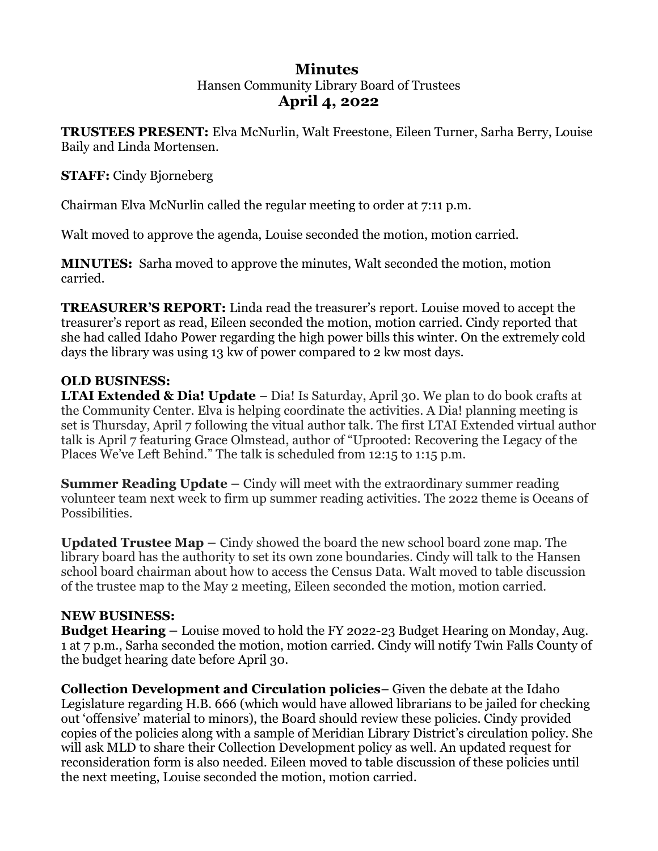# **Minutes**  Hansen Community Library Board of Trustees **April 4, 2022**

**TRUSTEES PRESENT:** Elva McNurlin, Walt Freestone, Eileen Turner, Sarha Berry, Louise Baily and Linda Mortensen.

**STAFF:** Cindy Bjorneberg

Chairman Elva McNurlin called the regular meeting to order at 7:11 p.m.

Walt moved to approve the agenda, Louise seconded the motion, motion carried.

**MINUTES:** Sarha moved to approve the minutes, Walt seconded the motion, motion carried.

**TREASURER'S REPORT:** Linda read the treasurer's report. Louise moved to accept the treasurer's report as read, Eileen seconded the motion, motion carried. Cindy reported that she had called Idaho Power regarding the high power bills this winter. On the extremely cold days the library was using 13 kw of power compared to 2 kw most days.

# **OLD BUSINESS:**

**LTAI Extended & Dia! Update** – Dia! Is Saturday, April 30. We plan to do book crafts at the Community Center. Elva is helping coordinate the activities. A Dia! planning meeting is set is Thursday, April 7 following the vitual author talk. The first LTAI Extended virtual author talk is April 7 featuring Grace Olmstead, author of "Uprooted: Recovering the Legacy of the Places We've Left Behind." The talk is scheduled from 12:15 to 1:15 p.m.

**Summer Reading Update –** Cindy will meet with the extraordinary summer reading volunteer team next week to firm up summer reading activities. The 2022 theme is Oceans of Possibilities.

**Updated Trustee Map –** Cindy showed the board the new school board zone map. The library board has the authority to set its own zone boundaries. Cindy will talk to the Hansen school board chairman about how to access the Census Data. Walt moved to table discussion of the trustee map to the May 2 meeting, Eileen seconded the motion, motion carried.

### **NEW BUSINESS:**

**Budget Hearing –** Louise moved to hold the FY 2022-23 Budget Hearing on Monday, Aug. 1 at 7 p.m., Sarha seconded the motion, motion carried. Cindy will notify Twin Falls County of the budget hearing date before April 30.

**Collection Development and Circulation policies**– Given the debate at the Idaho Legislature regarding H.B. 666 (which would have allowed librarians to be jailed for checking out 'offensive' material to minors), the Board should review these policies. Cindy provided copies of the policies along with a sample of Meridian Library District's circulation policy. She will ask MLD to share their Collection Development policy as well. An updated request for reconsideration form is also needed. Eileen moved to table discussion of these policies until the next meeting, Louise seconded the motion, motion carried.